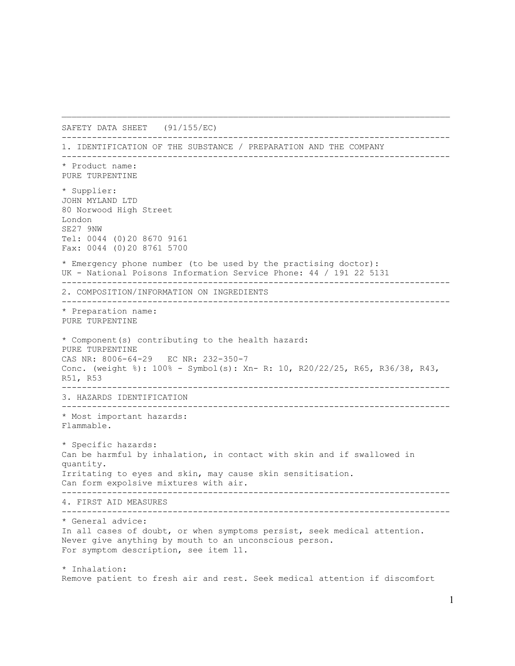SAFETY DATA SHEET (91/155/EC) ----------------------------------------------------------------------------- 1. IDENTIFICATION OF THE SUBSTANCE / PREPARATION AND THE COMPANY ----------------------------------------------------------------------------- \* Product name: PURE TURPENTINE \* Supplier: JOHN MYLAND LTD 80 Norwood High Street London SE27 9NW Tel: 0044 (0)20 8670 9161 Fax: 0044 (0)20 8761 5700 \* Emergency phone number (to be used by the practising doctor): UK - National Poisons Information Service Phone: 44 / 191 22 5131 ----------------------------------------------------------------------------- 2. COMPOSITION/INFORMATION ON INGREDIENTS ----------------------------------------------------------------------------- \* Preparation name: PURE TURPENTINE \* Component(s) contributing to the health hazard: PURE TURPENTINE CAS NR: 8006-64-29 EC NR: 232-350-7 Conc. (weight %): 100% - Symbol(s): Xn- R: 10, R20/22/25, R65, R36/38, R43, R51, R53 ----------------------------------------------------------------------------- 3. HAZARDS IDENTIFICATION ----------------------------------------------------------------------------- \* Most important hazards: Flammable. \* Specific hazards: Can be harmful by inhalation, in contact with skin and if swallowed in quantity. Irritating to eyes and skin, may cause skin sensitisation. Can form expolsive mixtures with air. ----------------------------------------------------------------------------- 4. FIRST AID MEASURES ----------------------------------------------------------------------------- \* General advice: In all cases of doubt, or when symptoms persist, seek medical attention. Never give anything by mouth to an unconscious person. For symptom description, see item 11. \* Inhalation: Remove patient to fresh air and rest. Seek medical attention if discomfort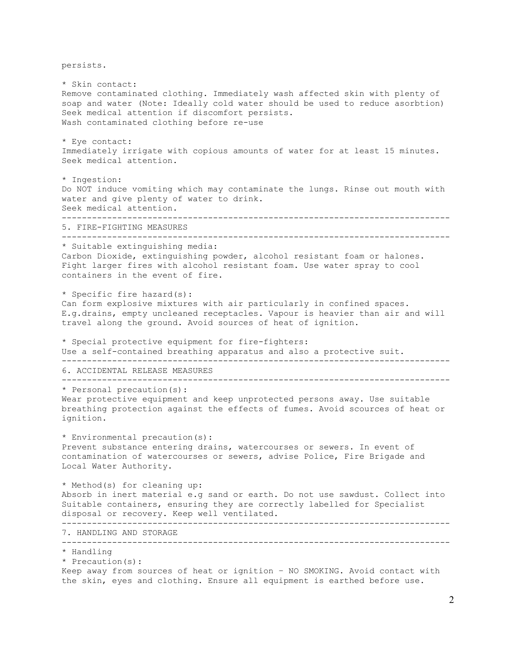persists. \* Skin contact: Remove contaminated clothing. Immediately wash affected skin with plenty of soap and water (Note: Ideally cold water should be used to reduce asorbtion) Seek medical attention if discomfort persists. Wash contaminated clothing before re-use \* Eye contact: Immediately irrigate with copious amounts of water for at least 15 minutes. Seek medical attention. \* Ingestion: Do NOT induce vomiting which may contaminate the lungs. Rinse out mouth with water and give plenty of water to drink. Seek medical attention. ----------------------------------------------------------------------------- 5. FIRE-FIGHTING MEASURES ----------------------------------------------------------------------------- \* Suitable extinguishing media: Carbon Dioxide, extinguishing powder, alcohol resistant foam or halones. Fight larger fires with alcohol resistant foam. Use water spray to cool containers in the event of fire. \* Specific fire hazard(s): Can form explosive mixtures with air particularly in confined spaces. E.g.drains, empty uncleaned receptacles. Vapour is heavier than air and will travel along the ground. Avoid sources of heat of ignition. \* Special protective equipment for fire-fighters: Use a self-contained breathing apparatus and also a protective suit. ----------------------------------------------------------------------------- 6. ACCIDENTAL RELEASE MEASURES ----------------------------------------------------------------------------- \* Personal precaution(s): Wear protective equipment and keep unprotected persons away. Use suitable breathing protection against the effects of fumes. Avoid scources of heat or ignition. \* Environmental precaution(s): Prevent substance entering drains, watercourses or sewers. In event of contamination of watercourses or sewers, advise Police, Fire Brigade and Local Water Authority. \* Method(s) for cleaning up: Absorb in inert material e.g sand or earth. Do not use sawdust. Collect into Suitable containers, ensuring they are correctly labelled for Specialist disposal or recovery. Keep well ventilated. ----------------------------------------------------------------------------- 7. HANDLING AND STORAGE ----------------------------------------------------------------------------- \* Handling \* Precaution(s): Keep away from sources of heat or ignition – NO SMOKING. Avoid contact with the skin, eyes and clothing. Ensure all equipment is earthed before use.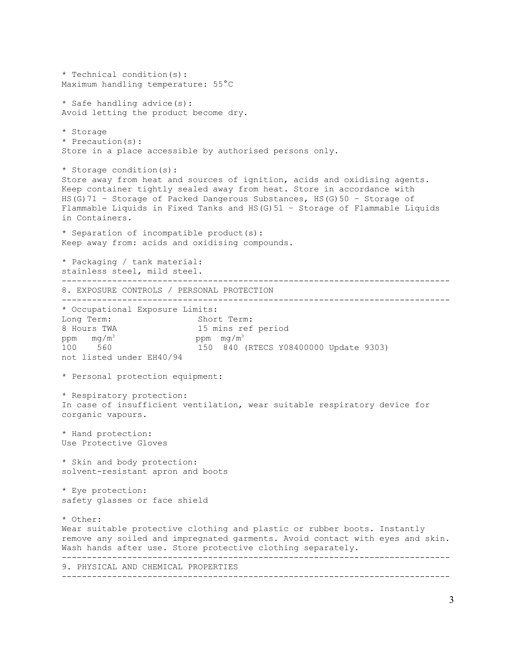```
* Technical condition(s):
Maximum handling temperature: 55°C
* Safe handling advice(s):
Avoid letting the product become dry.
* Storage
* Precaution(s):
Store in a place accessible by authorised persons only.
* Storage condition(s):
Store away from heat and sources of ignition, acids and oxidising agents. 
Keep container tightly sealed away from heat. Store in accordance with 
HS(G)71 – Storage of Packed Dangerous Substances, HS(G)50 – Storage of 
Flammable Liquids in Fixed Tanks and HS(G)51 – Storage of Flammable Liquids 
in Containers.
* Separation of incompatible product(s):
Keep away from: acids and oxidising compounds.
* Packaging / tank material:
stainless steel, mild steel.
-----------------------------------------------------------------------------
8. EXPOSURE CONTROLS / PERSONAL PROTECTION
-----------------------------------------------------------------------------
* Occupational Exposure Limits:
Long Term: Short Term:
8 Hours TWA 15 mins ref period
ppm mg/m^3 ppm mg/m^3<br>100 560 150 840
                          100 560 150 840 (RTECS Y08400000 Update 9303)
not listed under EH40/94
* Personal protection equipment:
* Respiratory protection:
In case of insufficient ventilation, wear suitable respiratory device for 
corganic vapours.
* Hand protection:
Use Protective Gloves
* Skin and body protection:
solvent-resistant apron and boots
* Eye protection:
safety glasses or face shield
* Other:
Wear suitable protective clothing and plastic or rubber boots. Instantly 
remove any soiled and impregnated garments. Avoid contact with eyes and skin.
Wash hands after use. Store protective clothing separately.
-----------------------------------------------------------------------------
9. PHYSICAL AND CHEMICAL PROPERTIES
-----------------------------------------------------------------------------
```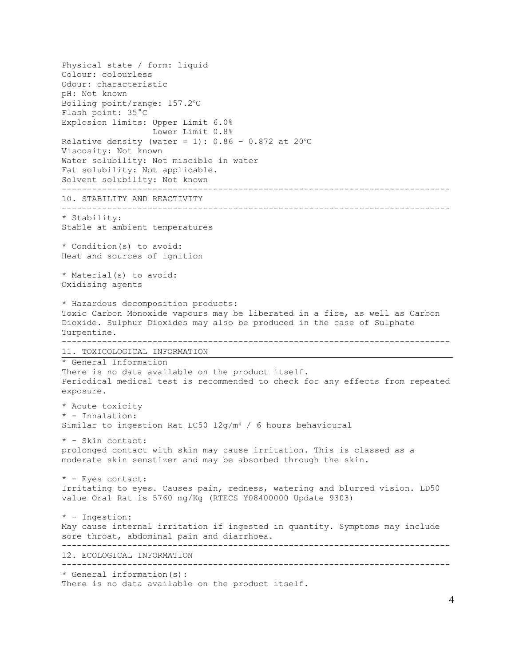Physical state / form: liquid Colour: colourless Odour: characteristic pH: Not known Boiling point/range: 157.2°C Flash point: 35°C Explosion limits: Upper Limit 6.0% Lower Limit 0.8% Relative density (water = 1):  $0.86 - 0.872$  at 20°C Viscosity: Not known Water solubility: Not miscible in water Fat solubility: Not applicable. Solvent solubility: Not known ----------------------------------------------------------------------------- 10. STABILITY AND REACTIVITY ----------------------------------------------------------------------------- \* Stability: Stable at ambient temperatures \* Condition(s) to avoid: Heat and sources of ignition \* Material(s) to avoid: Oxidising agents \* Hazardous decomposition products: Toxic Carbon Monoxide vapours may be liberated in a fire, as well as Carbon Dioxide. Sulphur Dioxides may also be produced in the case of Sulphate Turpentine. ----------------------------------------------------------------------------- 11. TOXICOLOGICAL INFORMATION \* General Information There is no data available on the product itself. Periodical medical test is recommended to check for any effects from repeated exposure. \* Acute toxicity \* - Inhalation: Similar to ingestion Rat LC50  $12g/m^3$  / 6 hours behavioural \* - Skin contact: prolonged contact with skin may cause irritation. This is classed as a moderate skin senstizer and may be absorbed through the skin. \* - Eyes contact: Irritating to eyes. Causes pain, redness, watering and blurred vision. LD50 value Oral Rat is 5760 mg/Kg (RTECS Y08400000 Update 9303) \* - Ingestion: May cause internal irritation if ingested in quantity. Symptoms may include sore throat, abdominal pain and diarrhoea. ----------------------------------------------------------------------------- 12. ECOLOGICAL INFORMATION ----------------------------------------------------------------------------- \* General information(s): There is no data available on the product itself.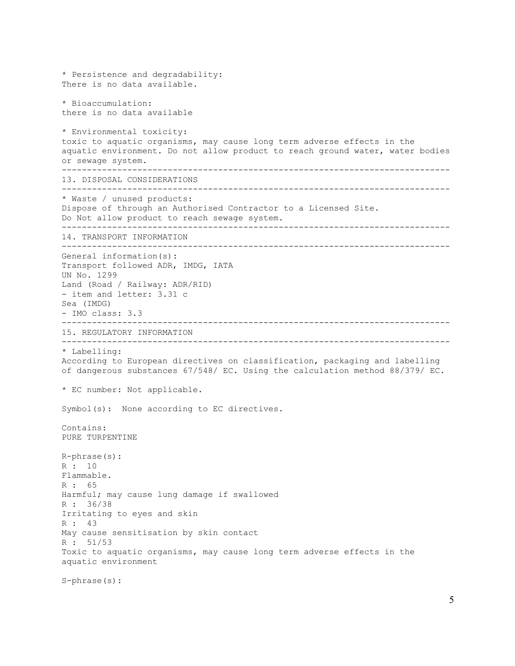```
* Persistence and degradability:
There is no data available.
* Bioaccumulation:
there is no data available
* Environmental toxicity:
toxic to aquatic organisms, may cause long term adverse effects in the 
aquatic environment. Do not allow product to reach ground water, water bodies
or sewage system.
-----------------------------------------------------------------------------
13. DISPOSAL CONSIDERATIONS
-----------------------------------------------------------------------------
* Waste / unused products:
Dispose of through an Authorised Contractor to a Licensed Site. 
Do Not allow product to reach sewage system.
-----------------------------------------------------------------------------
14. TRANSPORT INFORMATION
-----------------------------------------------------------------------------
General information(s):
Transport followed ADR, IMDG, IATA
UN No. 1299
Land (Road / Railway: ADR/RID)
- item and letter: 3.31 c
Sea (IMDG)
- IMO class: 3.3
-----------------------------------------------------------------------------
15. REGULATORY INFORMATION
-----------------------------------------------------------------------------
* Labelling:
According to European directives on classification, packaging and labelling 
of dangerous substances 67/548/ EC. Using the calculation method 88/379/ EC.
* EC number: Not applicable.
Symbol(s): None according to EC directives.
Contains:
PURE TURPENTINE
R-phrase(s):
R : 10
Flammable.
R : 65
Harmful; may cause lung damage if swallowed
R : 36/38
Irritating to eyes and skin
R : 43
May cause sensitisation by skin contact
R : 51/53
Toxic to aquatic organisms, may cause long term adverse effects in the 
aquatic environment
S-phrase(s):
```